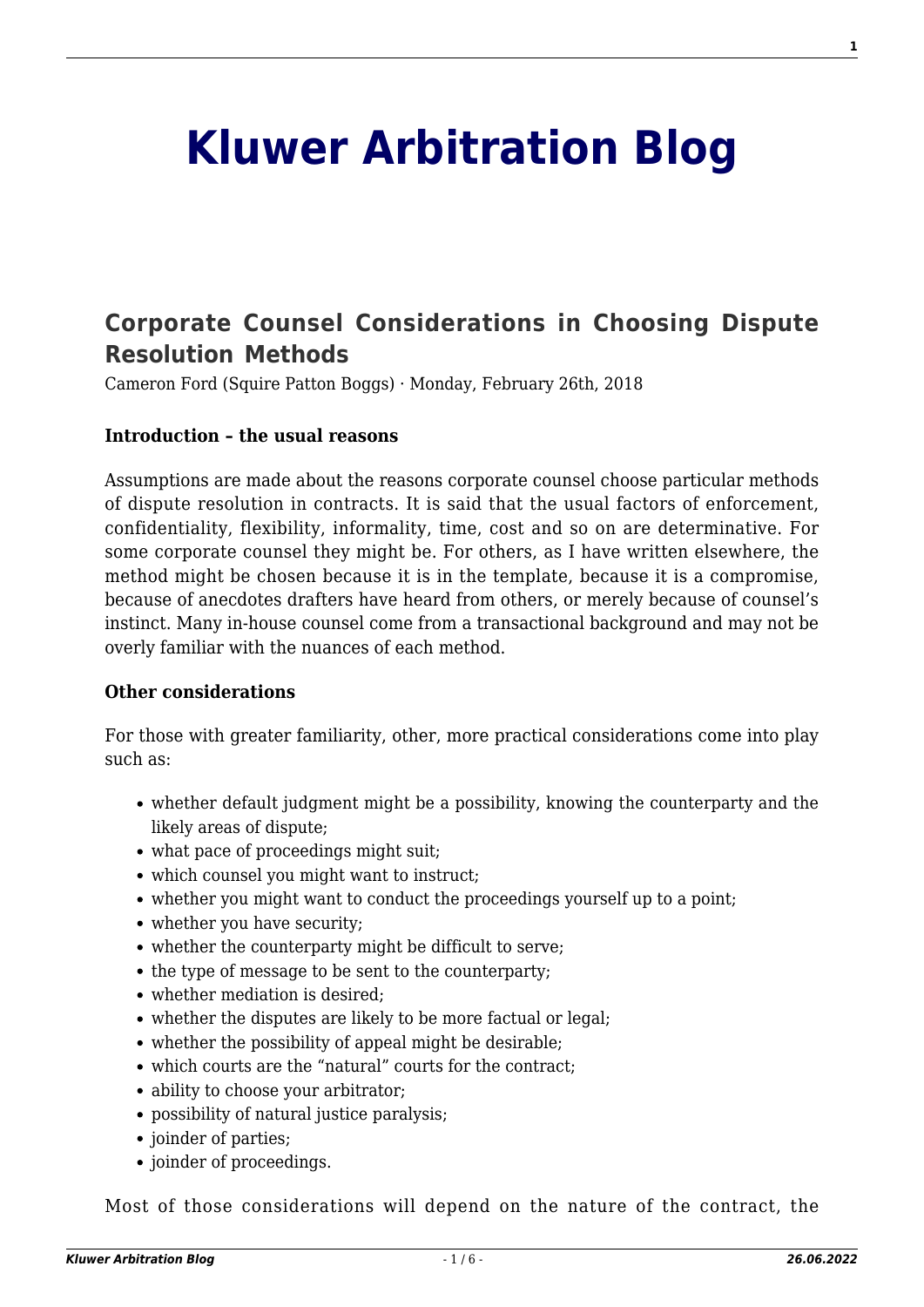# **[Kluwer Arbitration Blog](http://arbitrationblog.kluwerarbitration.com/)**

# **[Corporate Counsel Considerations in Choosing Dispute](http://arbitrationblog.kluwerarbitration.com/2018/02/26/corporate-counsel-considerations-in-choosing-dispute-resolution-methods/) [Resolution Methods](http://arbitrationblog.kluwerarbitration.com/2018/02/26/corporate-counsel-considerations-in-choosing-dispute-resolution-methods/)**

Cameron Ford (Squire Patton Boggs) · Monday, February 26th, 2018

#### **Introduction – the usual reasons**

Assumptions are made about the reasons corporate counsel choose particular methods of dispute resolution in contracts. It is said that the usual factors of enforcement, confidentiality, flexibility, informality, time, cost and so on are determinative. For some corporate counsel they might be. For others, as I have written elsewhere, the method might be chosen because it is in the template, because it is a compromise, because of anecdotes drafters have heard from others, or merely because of counsel's instinct. Many in-house counsel come from a transactional background and may not be overly familiar with the nuances of each method.

#### **Other considerations**

For those with greater familiarity, other, more practical considerations come into play such as:

- whether default judgment might be a possibility, knowing the counterparty and the likely areas of dispute;
- what pace of proceedings might suit;
- which counsel you might want to instruct;
- whether you might want to conduct the proceedings yourself up to a point;
- whether you have security;
- whether the counterparty might be difficult to serve;
- the type of message to be sent to the counterparty;
- whether mediation is desired:
- whether the disputes are likely to be more factual or legal:
- whether the possibility of appeal might be desirable;
- which courts are the "natural" courts for the contract;
- ability to choose your arbitrator;
- possibility of natural justice paralysis;
- joinder of parties;
- joinder of proceedings.

Most of those considerations will depend on the nature of the contract, the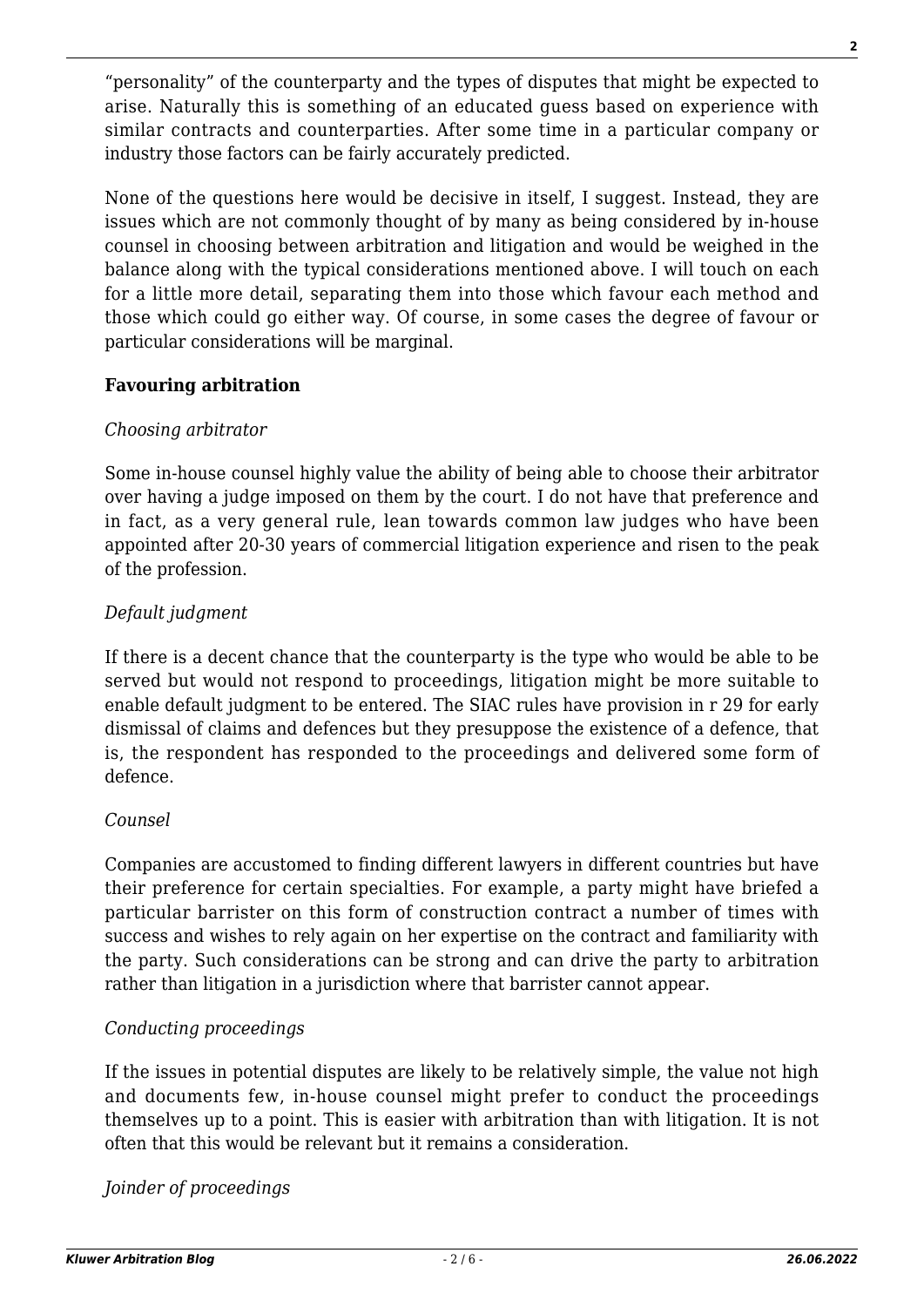"personality" of the counterparty and the types of disputes that might be expected to arise. Naturally this is something of an educated guess based on experience with similar contracts and counterparties. After some time in a particular company or industry those factors can be fairly accurately predicted.

None of the questions here would be decisive in itself, I suggest. Instead, they are issues which are not commonly thought of by many as being considered by in-house counsel in choosing between arbitration and litigation and would be weighed in the balance along with the typical considerations mentioned above. I will touch on each for a little more detail, separating them into those which favour each method and those which could go either way. Of course, in some cases the degree of favour or particular considerations will be marginal.

#### **Favouring arbitration**

#### *Choosing arbitrator*

Some in-house counsel highly value the ability of being able to choose their arbitrator over having a judge imposed on them by the court. I do not have that preference and in fact, as a very general rule, lean towards common law judges who have been appointed after 20-30 years of commercial litigation experience and risen to the peak of the profession.

# *Default judgment*

If there is a decent chance that the counterparty is the type who would be able to be served but would not respond to proceedings, litigation might be more suitable to enable default judgment to be entered. The SIAC rules have provision in r 29 for early dismissal of claims and defences but they presuppose the existence of a defence, that is, the respondent has responded to the proceedings and delivered some form of defence.

# *Counsel*

Companies are accustomed to finding different lawyers in different countries but have their preference for certain specialties. For example, a party might have briefed a particular barrister on this form of construction contract a number of times with success and wishes to rely again on her expertise on the contract and familiarity with the party. Such considerations can be strong and can drive the party to arbitration rather than litigation in a jurisdiction where that barrister cannot appear.

# *Conducting proceedings*

If the issues in potential disputes are likely to be relatively simple, the value not high and documents few, in-house counsel might prefer to conduct the proceedings themselves up to a point. This is easier with arbitration than with litigation. It is not often that this would be relevant but it remains a consideration.

*Joinder of proceedings*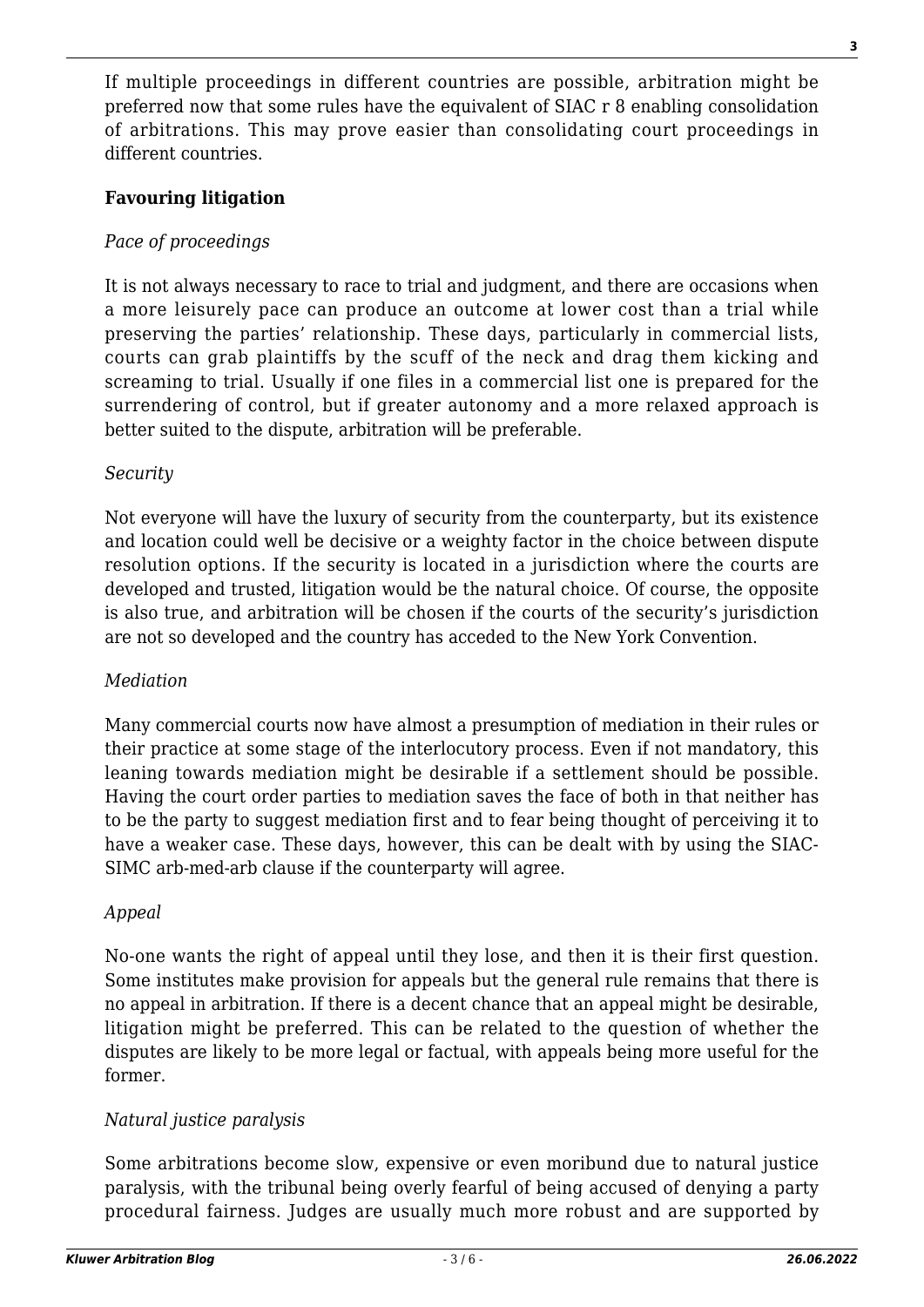If multiple proceedings in different countries are possible, arbitration might be preferred now that some rules have the equivalent of SIAC r 8 enabling consolidation of arbitrations. This may prove easier than consolidating court proceedings in different countries.

# **Favouring litigation**

# *Pace of proceedings*

It is not always necessary to race to trial and judgment, and there are occasions when a more leisurely pace can produce an outcome at lower cost than a trial while preserving the parties' relationship. These days, particularly in commercial lists, courts can grab plaintiffs by the scuff of the neck and drag them kicking and screaming to trial. Usually if one files in a commercial list one is prepared for the surrendering of control, but if greater autonomy and a more relaxed approach is better suited to the dispute, arbitration will be preferable.

#### *Security*

Not everyone will have the luxury of security from the counterparty, but its existence and location could well be decisive or a weighty factor in the choice between dispute resolution options. If the security is located in a jurisdiction where the courts are developed and trusted, litigation would be the natural choice. Of course, the opposite is also true, and arbitration will be chosen if the courts of the security's jurisdiction are not so developed and the country has acceded to the New York Convention.

#### *Mediation*

Many commercial courts now have almost a presumption of mediation in their rules or their practice at some stage of the interlocutory process. Even if not mandatory, this leaning towards mediation might be desirable if a settlement should be possible. Having the court order parties to mediation saves the face of both in that neither has to be the party to suggest mediation first and to fear being thought of perceiving it to have a weaker case. These days, however, this can be dealt with by using the SIAC-SIMC arb-med-arb clause if the counterparty will agree.

#### *Appeal*

No-one wants the right of appeal until they lose, and then it is their first question. Some institutes make provision for appeals but the general rule remains that there is no appeal in arbitration. If there is a decent chance that an appeal might be desirable, litigation might be preferred. This can be related to the question of whether the disputes are likely to be more legal or factual, with appeals being more useful for the former.

# *Natural justice paralysis*

Some arbitrations become slow, expensive or even moribund due to natural justice paralysis, with the tribunal being overly fearful of being accused of denying a party procedural fairness. Judges are usually much more robust and are supported by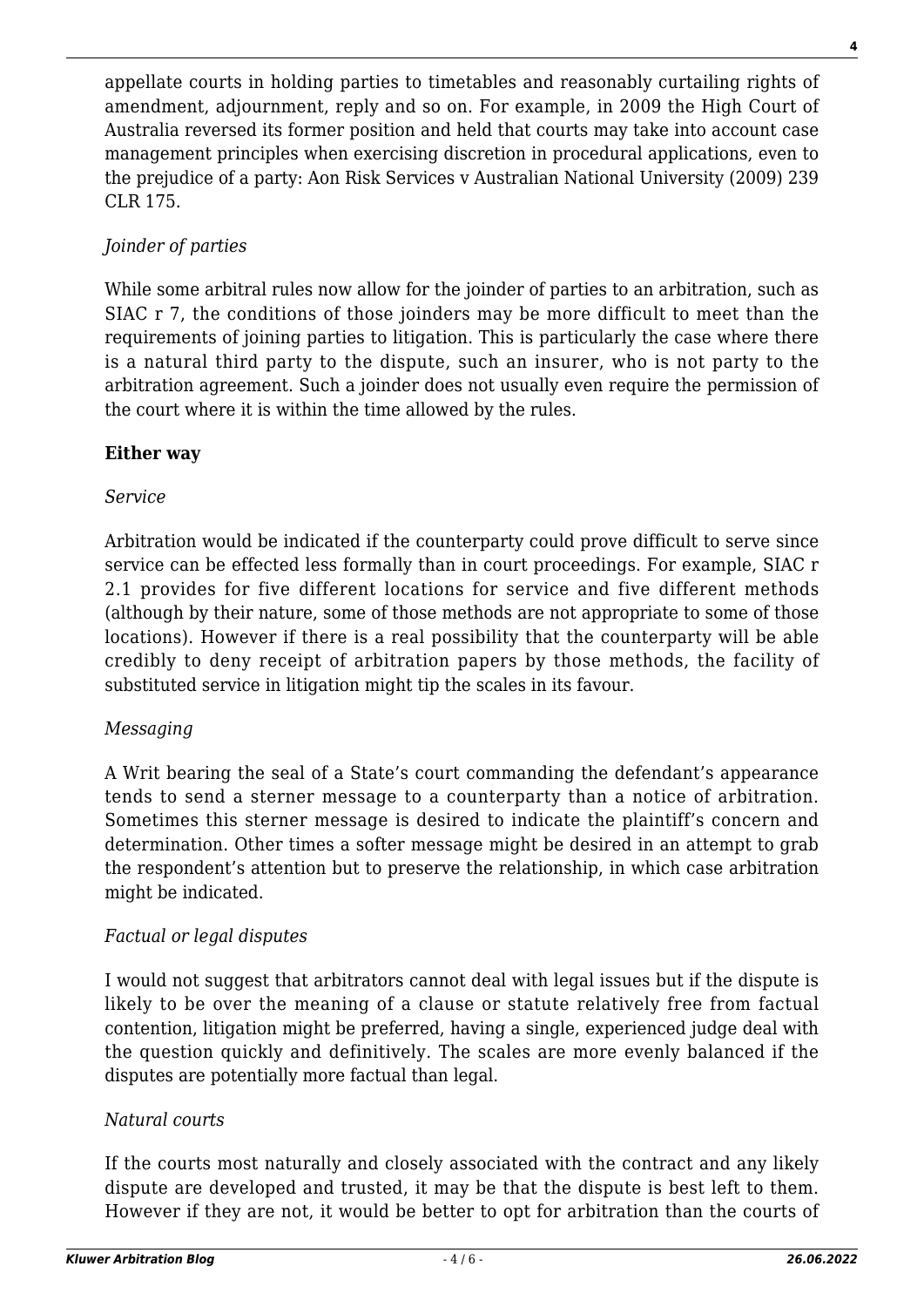appellate courts in holding parties to timetables and reasonably curtailing rights of amendment, adjournment, reply and so on. For example, in 2009 the High Court of Australia reversed its former position and held that courts may take into account case management principles when exercising discretion in procedural applications, even to the prejudice of a party: Aon Risk Services v Australian National University (2009) 239 CLR 175.

# *Joinder of parties*

While some arbitral rules now allow for the joinder of parties to an arbitration, such as SIAC r 7, the conditions of those joinders may be more difficult to meet than the requirements of joining parties to litigation. This is particularly the case where there is a natural third party to the dispute, such an insurer, who is not party to the arbitration agreement. Such a joinder does not usually even require the permission of the court where it is within the time allowed by the rules.

# **Either way**

#### *Service*

Arbitration would be indicated if the counterparty could prove difficult to serve since service can be effected less formally than in court proceedings. For example, SIAC r 2.1 provides for five different locations for service and five different methods (although by their nature, some of those methods are not appropriate to some of those locations). However if there is a real possibility that the counterparty will be able credibly to deny receipt of arbitration papers by those methods, the facility of substituted service in litigation might tip the scales in its favour.

#### *Messaging*

A Writ bearing the seal of a State's court commanding the defendant's appearance tends to send a sterner message to a counterparty than a notice of arbitration. Sometimes this sterner message is desired to indicate the plaintiff's concern and determination. Other times a softer message might be desired in an attempt to grab the respondent's attention but to preserve the relationship, in which case arbitration might be indicated.

# *Factual or legal disputes*

I would not suggest that arbitrators cannot deal with legal issues but if the dispute is likely to be over the meaning of a clause or statute relatively free from factual contention, litigation might be preferred, having a single, experienced judge deal with the question quickly and definitively. The scales are more evenly balanced if the disputes are potentially more factual than legal.

#### *Natural courts*

If the courts most naturally and closely associated with the contract and any likely dispute are developed and trusted, it may be that the dispute is best left to them. However if they are not, it would be better to opt for arbitration than the courts of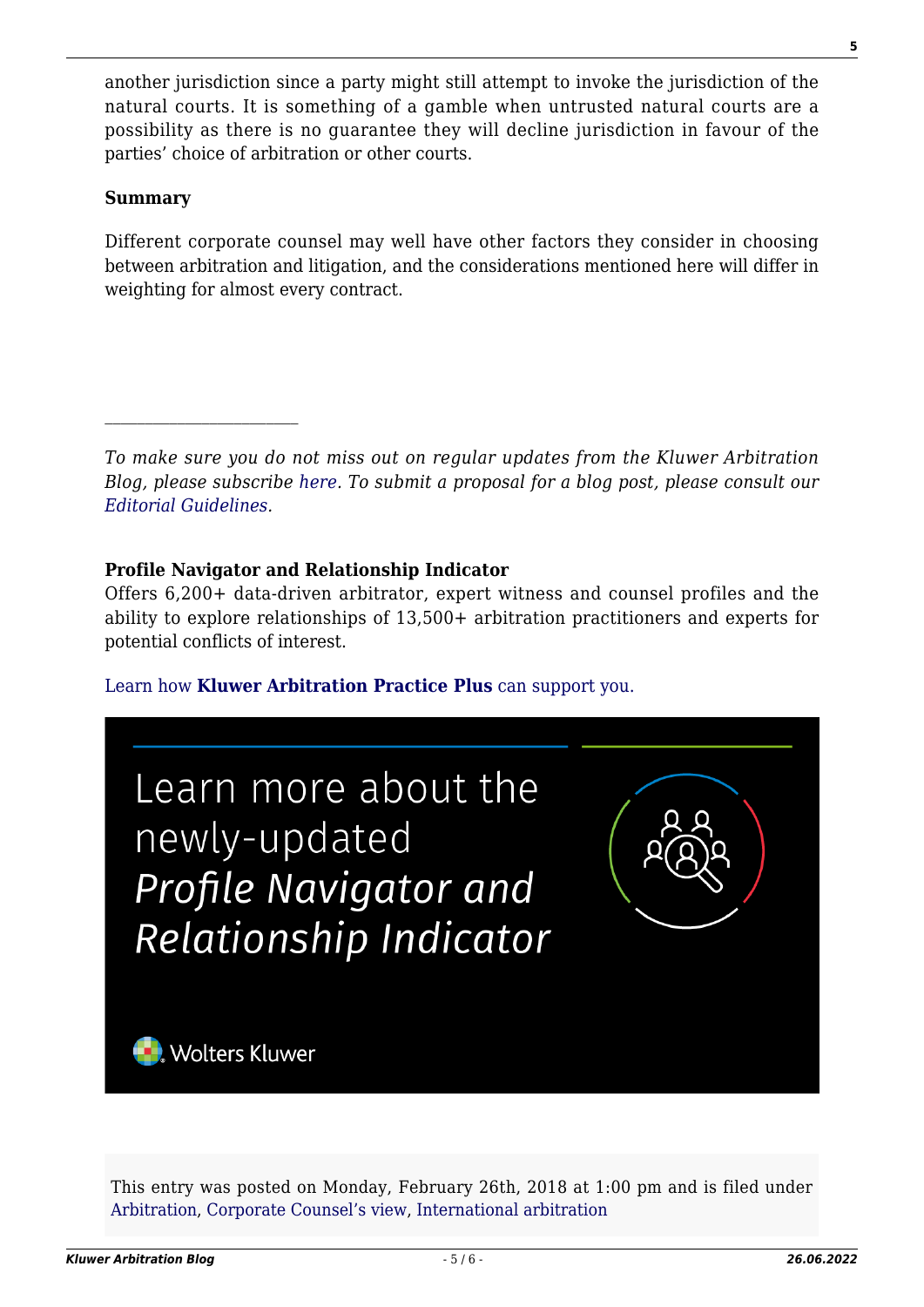another jurisdiction since a party might still attempt to invoke the jurisdiction of the natural courts. It is something of a gamble when untrusted natural courts are a possibility as there is no guarantee they will decline jurisdiction in favour of the parties' choice of arbitration or other courts.

#### **Summary**

Different corporate counsel may well have other factors they consider in choosing between arbitration and litigation, and the considerations mentioned here will differ in weighting for almost every contract.

*To make sure you do not miss out on regular updates from the Kluwer Arbitration Blog, please subscribe [here](http://arbitrationblog.kluwerarbitration.com/newsletter/). To submit a proposal for a blog post, please consult our [Editorial Guidelines.](http://arbitrationblog.kluwerarbitration.com/editorial-guidelines/)*

# **Profile Navigator and Relationship Indicator**

Offers 6,200+ data-driven arbitrator, expert witness and counsel profiles and the ability to explore relationships of 13,500+ arbitration practitioners and experts for potential conflicts of interest.

[Learn how](https://www.wolterskluwer.com/en/solutions/kluwerarbitration/practiceplus?utm_source=arbitrationblog&utm_medium=articleCTA&utm_campaign=article-banner) **[Kluwer Arbitration Practice Plus](https://www.wolterskluwer.com/en/solutions/kluwerarbitration/practiceplus?utm_source=arbitrationblog&utm_medium=articleCTA&utm_campaign=article-banner)** [can support you.](https://www.wolterskluwer.com/en/solutions/kluwerarbitration/practiceplus?utm_source=arbitrationblog&utm_medium=articleCTA&utm_campaign=article-banner)



This entry was posted on Monday, February 26th, 2018 at 1:00 pm and is filed under [Arbitration,](http://arbitrationblog.kluwerarbitration.com/category/arbitration/) [Corporate Counsel's view](http://arbitrationblog.kluwerarbitration.com/category/corporate-counsels-view/), [International arbitration](http://arbitrationblog.kluwerarbitration.com/category/international-arbitration/)